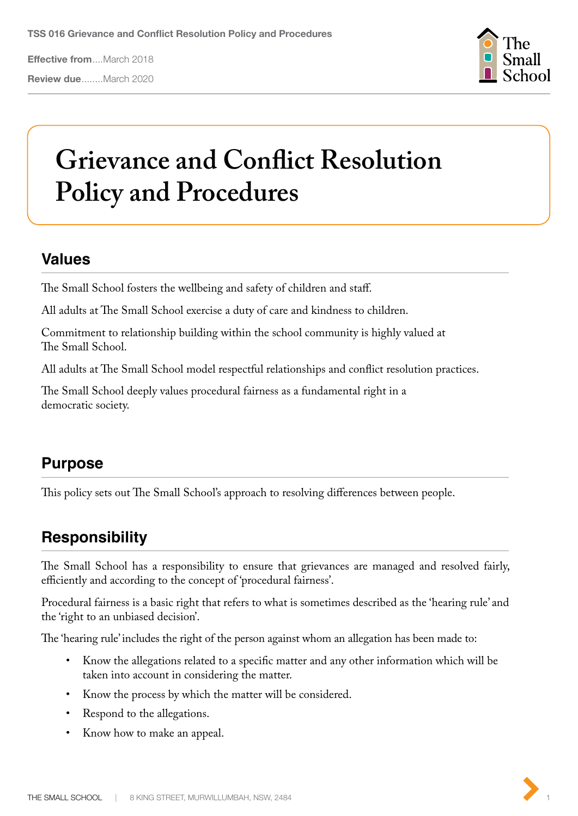**Review due**........March 2020



# **Grievance and Conflict Resolution Policy and Procedures**

## **Values**

The Small School fosters the wellbeing and safety of children and staff.

All adults at The Small School exercise a duty of care and kindness to children.

Commitment to relationship building within the school community is highly valued at The Small School.

All adults at The Small School model respectful relationships and conflict resolution practices.

The Small School deeply values procedural fairness as a fundamental right in a democratic society.

# **Purpose**

This policy sets out The Small School's approach to resolving differences between people.

# **Responsibility**

The Small School has a responsibility to ensure that grievances are managed and resolved fairly, efficiently and according to the concept of 'procedural fairness'.

Procedural fairness is a basic right that refers to what is sometimes described as the 'hearing rule' and the 'right to an unbiased decision'.

The 'hearing rule' includes the right of the person against whom an allegation has been made to:

- Know the allegations related to a specific matter and any other information which will be taken into account in considering the matter.
- Know the process by which the matter will be considered.
- Respond to the allegations.
- Know how to make an appeal.

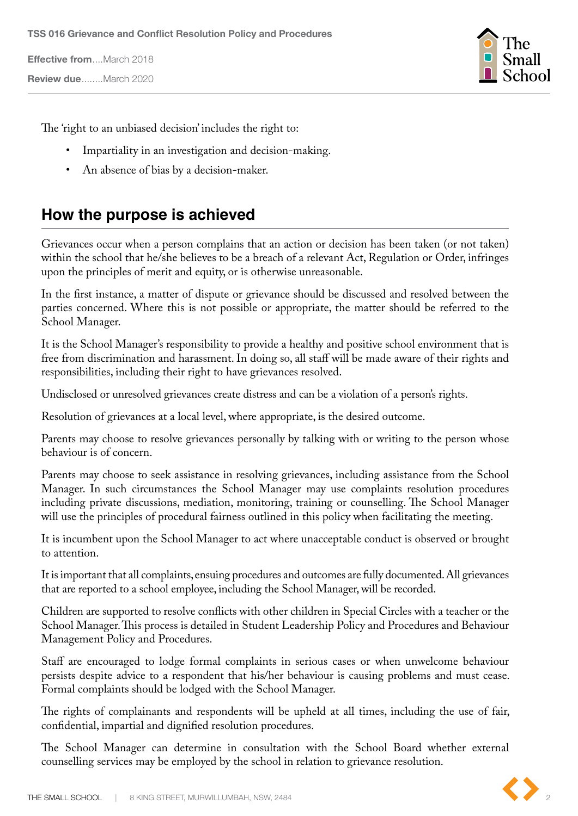**Review due**........March 2020



The 'right to an unbiased decision' includes the right to:

- Impartiality in an investigation and decision-making.
- An absence of bias by a decision-maker.

## **How the purpose is achieved**

Grievances occur when a person complains that an action or decision has been taken (or not taken) within the school that he/she believes to be a breach of a relevant Act, Regulation or Order, infringes upon the principles of merit and equity, or is otherwise unreasonable.

In the first instance, a matter of dispute or grievance should be discussed and resolved between the parties concerned. Where this is not possible or appropriate, the matter should be referred to the School Manager.

It is the School Manager's responsibility to provide a healthy and positive school environment that is free from discrimination and harassment. In doing so, all staff will be made aware of their rights and responsibilities, including their right to have grievances resolved.

Undisclosed or unresolved grievances create distress and can be a violation of a person's rights.

Resolution of grievances at a local level, where appropriate, is the desired outcome.

Parents may choose to resolve grievances personally by talking with or writing to the person whose behaviour is of concern.

Parents may choose to seek assistance in resolving grievances, including assistance from the School Manager. In such circumstances the School Manager may use complaints resolution procedures including private discussions, mediation, monitoring, training or counselling. The School Manager will use the principles of procedural fairness outlined in this policy when facilitating the meeting.

It is incumbent upon the School Manager to act where unacceptable conduct is observed or brought to attention.

It is important that all complaints, ensuing procedures and outcomes are fully documented. All grievances that are reported to a school employee, including the School Manager, will be recorded.

Children are supported to resolve conflicts with other children in Special Circles with a teacher or the School Manager. This process is detailed in Student Leadership Policy and Procedures and Behaviour Management Policy and Procedures.

Staff are encouraged to lodge formal complaints in serious cases or when unwelcome behaviour persists despite advice to a respondent that his/her behaviour is causing problems and must cease. Formal complaints should be lodged with the School Manager.

The rights of complainants and respondents will be upheld at all times, including the use of fair, confidential, impartial and dignified resolution procedures.

The School Manager can determine in consultation with the School Board whether external counselling services may be employed by the school in relation to grievance resolution.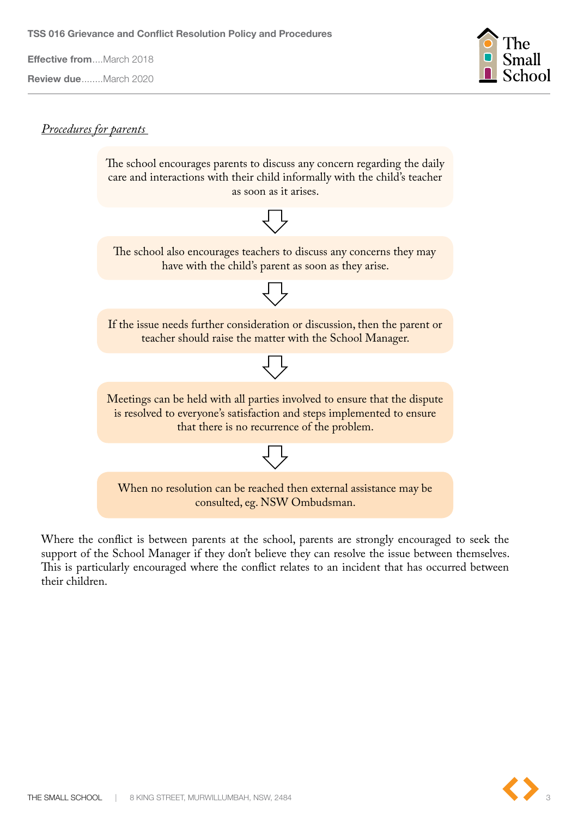**Review due**........March 2020



#### *Procedures for parents*



Where the conflict is between parents at the school, parents are strongly encouraged to seek the support of the School Manager if they don't believe they can resolve the issue between themselves. This is particularly encouraged where the conflict relates to an incident that has occurred between their children.